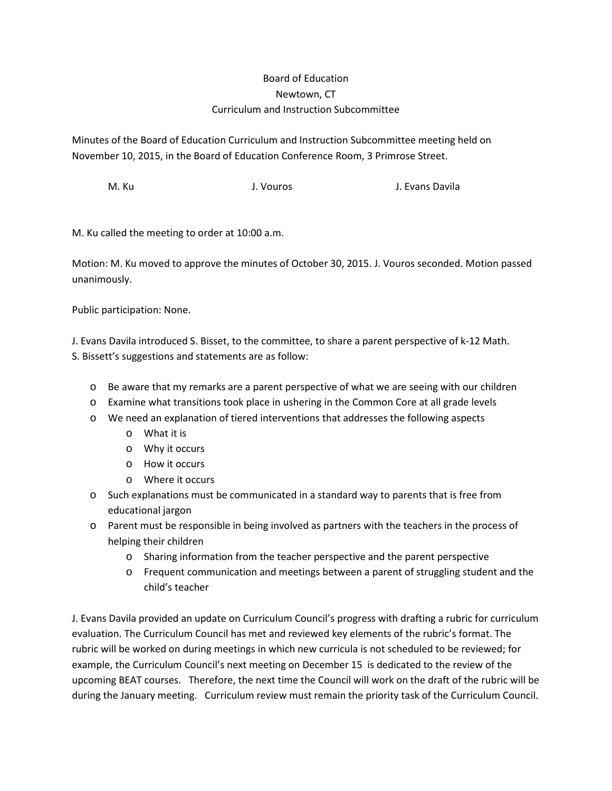## Board of Education Newtown, CT Curriculum and Instruction Subcommittee

Minutes of the Board of Education Curriculum and Instruction Subcommittee meeting held on November 10, 2015, in the Board of Education Conference Room, 3 Primrose Street.

M. Ku J. Vouros J. Evans Davila

M. Ku called the meeting to order at 10:00 a.m.

Motion: M. Ku moved to approve the minutes of October 30, 2015. J. Vouros seconded. Motion passed unanimously.

Public participation: None.

J. Evans Davila introduced S. Bisset, to the committee, to share a parent perspective of k-12 Math. S. Bissett's suggestions and statements are as follow:

- o Be aware that my remarks are a parent perspective of what we are seeing with our children
- o Examine what transitions took place in ushering in the Common Core at all grade levels
- o We need an explanation of tiered interventions that addresses the following aspects
	- o What it is
	- o Why it occurs
	- o How it occurs
	- o Where it occurs
- o Such explanations must be communicated in a standard way to parents that is free from educational jargon
- o Parent must be responsible in being involved as partners with the teachers in the process of helping their children
	- o Sharing information from the teacher perspective and the parent perspective
	- o Frequent communication and meetings between a parent of struggling student and the child's teacher

J. Evans Davila provided an update on Curriculum Council's progress with drafting a rubric for curriculum evaluation. The Curriculum Council has met and reviewed key elements of the rubric's format. The rubric will be worked on during meetings in which new curricula is not scheduled to be reviewed; for example, the Curriculum Council's next meeting on December 15 is dedicated to the review of the upcoming BEAT courses. Therefore, the next time the Council will work on the draft of the rubric will be during the January meeting. Curriculum review must remain the priority task of the Curriculum Council.